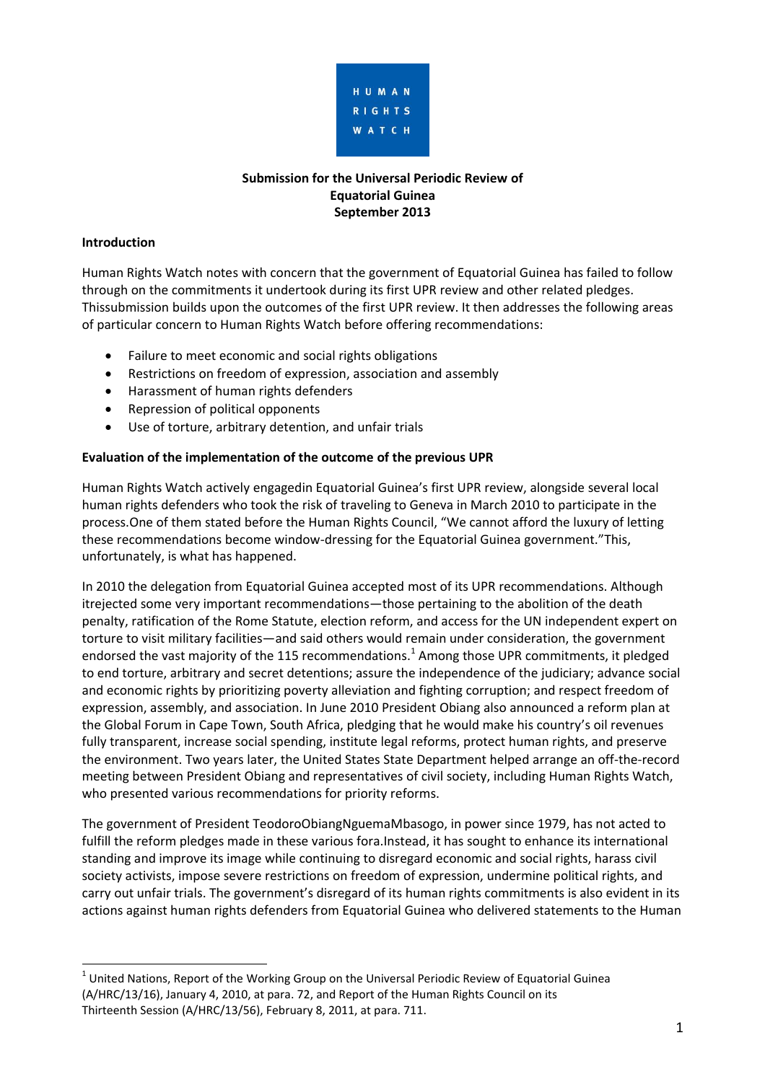

# **Submission for the Universal Periodic Review of Equatorial Guinea September 2013**

#### **Introduction**

Human Rights Watch notes with concern that the government of Equatorial Guinea has failed to follow through on the commitments it undertook during its first UPR review and other related pledges. Thissubmission builds upon the outcomes of the first UPR review. It then addresses the following areas of particular concern to Human Rights Watch before offering recommendations:

- Failure to meet economic and social rights obligations
- Restrictions on freedom of expression, association and assembly
- Harassment of human rights defenders
- Repression of political opponents
- Use of torture, arbitrary detention, and unfair trials

## **Evaluation of the implementation of the outcome of the previous UPR**

Human Rights Watch actively engagedin Equatorial Guinea's first UPR review, alongside several local human rights defenders who took the risk of traveling to Geneva in March 2010 to participate in the process.One of them stated before the Human Rights Council, "We cannot afford the luxury of letting these recommendations become window-dressing for the Equatorial Guinea government."This, unfortunately, is what has happened.

In 2010 the delegation from Equatorial Guinea accepted most of its UPR recommendations. Although itrejected some very important recommendations—those pertaining to the abolition of the death penalty, ratification of the Rome Statute, election reform, and access for the UN independent expert on torture to visit military facilities—and said others would remain under consideration, the government endorsed the vast majority of the 115 recommendations.<sup>1</sup> Among those UPR commitments, it pledged to end torture, arbitrary and secret detentions; assure the independence of the judiciary; advance social and economic rights by prioritizing poverty alleviation and fighting corruption; and respect freedom of expression, assembly, and association. In June 2010 President Obiang also announced a reform plan at the Global Forum in Cape Town, South Africa, pledging that he would make his country's oil revenues fully transparent, increase social spending, institute legal reforms, protect human rights, and preserve the environment. Two years later, the United States State Department helped arrange an off-the-record meeting between President Obiang and representatives of civil society, including Human Rights Watch, who presented various recommendations for priority reforms.

The government of President TeodoroObiangNguemaMbasogo, in power since 1979, has not acted to fulfill the reform pledges made in these various fora.Instead, it has sought to enhance its international standing and improve its image while continuing to disregard economic and social rights, harass civil society activists, impose severe restrictions on freedom of expression, undermine political rights, and carry out unfair trials. The government's disregard of its human rights commitments is also evident in its actions against human rights defenders from Equatorial Guinea who delivered statements to the Human

l  $^{1}$  United Nations, Report of the Working Group on the Universal Periodic Review of Equatorial Guinea (A/HRC/13/16), January 4, 2010, at para. 72, and Report of the Human Rights Council on its Thirteenth Session (A/HRC/13/56), February 8, 2011, at para. 711.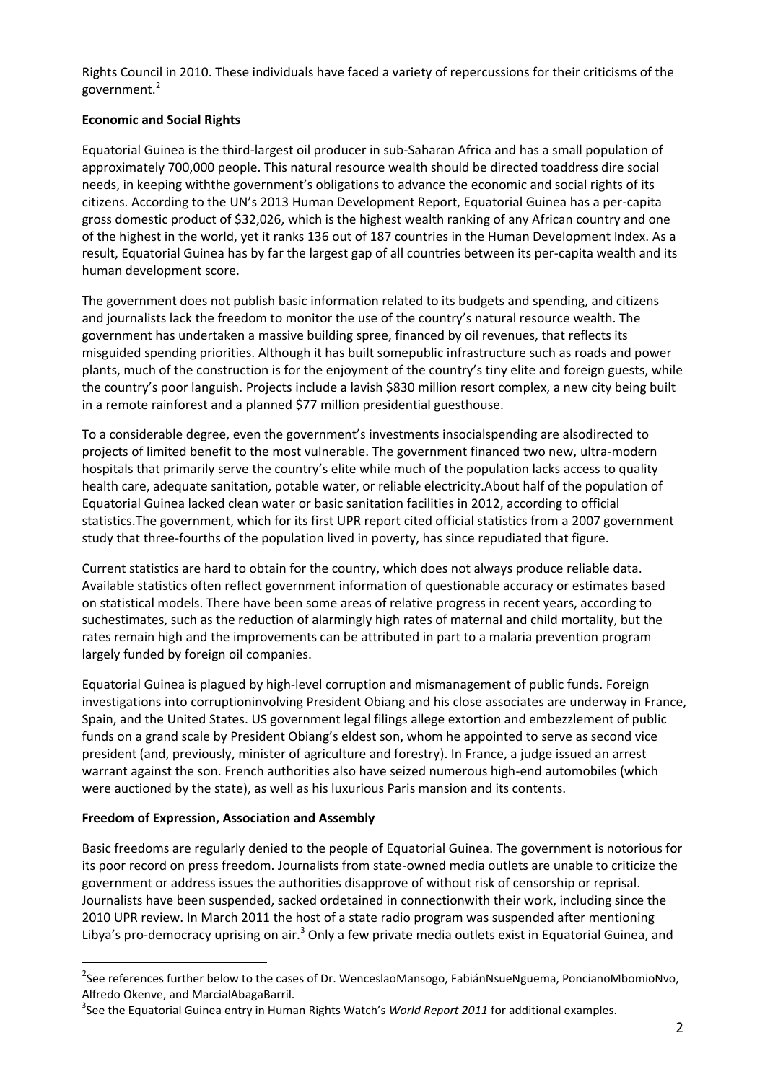Rights Council in 2010. These individuals have faced a variety of repercussions for their criticisms of the government.<sup>2</sup>

# **Economic and Social Rights**

Equatorial Guinea is the third-largest oil producer in sub-Saharan Africa and has a small population of approximately 700,000 people. This natural resource wealth should be directed toaddress dire social needs, in keeping withthe government's obligations to advance the economic and social rights of its citizens. According to the UN's 2013 Human Development Report, Equatorial Guinea has a per-capita gross domestic product of \$32,026, which is the highest wealth ranking of any African country and one of the highest in the world, yet it ranks 136 out of 187 countries in the Human Development Index. As a result, Equatorial Guinea has by far the largest gap of all countries between its per-capita wealth and its human development score.

The government does not publish basic information related to its budgets and spending, and citizens and journalists lack the freedom to monitor the use of the country's natural resource wealth. The government has undertaken a massive building spree, financed by oil revenues, that reflects its misguided spending priorities. Although it has built somepublic infrastructure such as roads and power plants, much of the construction is for the enjoyment of the country's tiny elite and foreign guests, while the country's poor languish. Projects include a lavish \$830 million resort complex, a new city being built in a remote rainforest and a planned \$77 million presidential guesthouse.

To a considerable degree, even the government's investments insocialspending are alsodirected to projects of limited benefit to the most vulnerable. The government financed two new, ultra-modern hospitals that primarily serve the country's elite while much of the population lacks access to quality health care, adequate sanitation, potable water, or reliable electricity.About half of the population of Equatorial Guinea lacked clean water or basic sanitation facilities in 2012, according to official statistics.The government, which for its first UPR report cited official statistics from a 2007 government study that three-fourths of the population lived in poverty, has since repudiated that figure.

Current statistics are hard to obtain for the country, which does not always produce reliable data. Available statistics often reflect government information of questionable accuracy or estimates based on statistical models. There have been some areas of relative progress in recent years, according to suchestimates, such as the reduction of alarmingly high rates of maternal and child mortality, but the rates remain high and the improvements can be attributed in part to a malaria prevention program largely funded by foreign oil companies.

Equatorial Guinea is plagued by high-level corruption and mismanagement of public funds. Foreign investigations into corruptioninvolving President Obiang and his close associates are underway in France, Spain, and the United States. US government legal filings allege extortion and embezzlement of public funds on a grand scale by President Obiang's eldest son, whom he appointed to serve as second vice president (and, previously, minister of agriculture and forestry). In France, a judge issued an arrest warrant against the son. French authorities also have seized numerous high-end automobiles (which were auctioned by the state), as well as his luxurious Paris mansion and its contents.

## **Freedom of Expression, Association and Assembly**

 $\overline{\phantom{a}}$ 

Basic freedoms are regularly denied to the people of Equatorial Guinea. The government is notorious for its poor record on press freedom. Journalists from state-owned media outlets are unable to criticize the government or address issues the authorities disapprove of without risk of censorship or reprisal. Journalists have been suspended, sacked ordetained in connectionwith their work, including since the 2010 UPR review. In March 2011 the host of a state radio program was suspended after mentioning Libya's pro-democracy uprising on air.<sup>3</sup> Only a few private media outlets exist in Equatorial Guinea, and

<sup>&</sup>lt;sup>2</sup>See references further below to the cases of Dr. WenceslaoMansogo, FabiánNsueNguema, PoncianoMbomioNvo, Alfredo Okenve, and MarcialAbagaBarril.

<sup>3</sup> See the Equatorial Guinea entry in Human Rights Watch's *World Report 2011* for additional examples.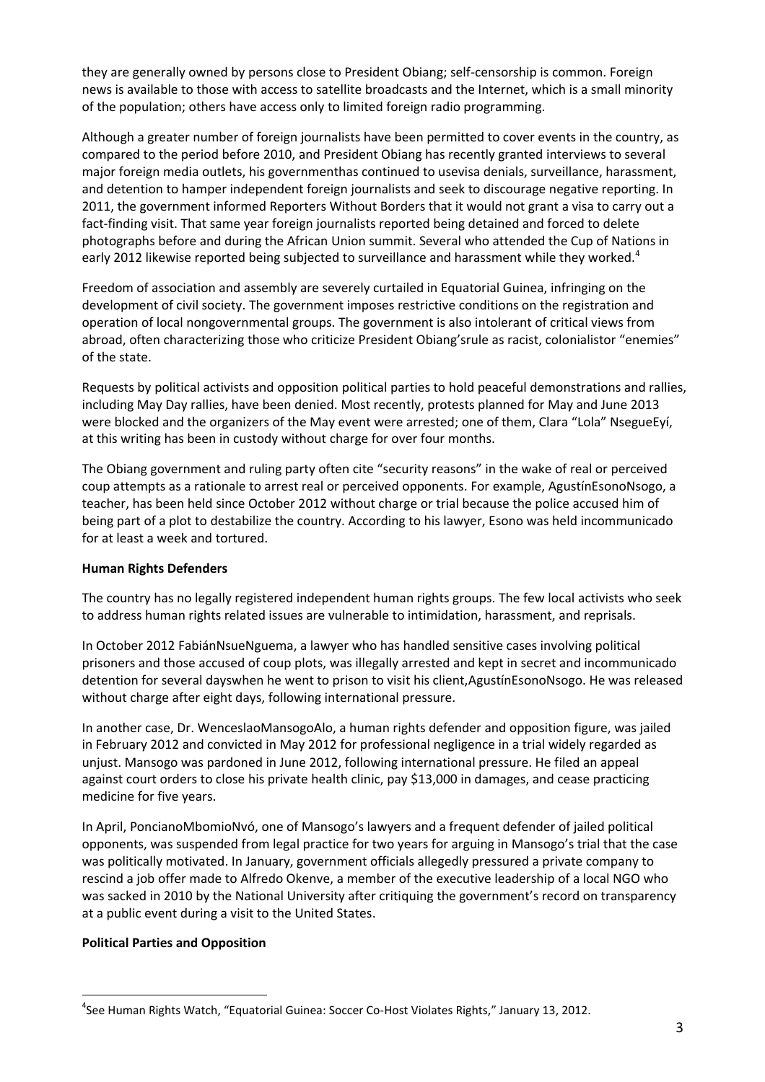they are generally owned by persons close to President Obiang; self-censorship is common. Foreign news is available to those with access to satellite broadcasts and the Internet, which is a small minority of the population; others have access only to limited foreign radio programming.

Although a greater number of foreign journalists have been permitted to cover events in the country, as compared to the period before 2010, and President Obiang has recently granted interviews to several major foreign media outlets, his governmenthas continued to usevisa denials, surveillance, harassment, and detention to hamper independent foreign journalists and seek to discourage negative reporting. In 2011, the government informed Reporters Without Borders that it would not grant a visa to carry out a fact-finding visit. That same year foreign journalists reported being detained and forced to delete photographs before and during the African Union summit. Several who attended the Cup of Nations in early 2012 likewise reported being subjected to surveillance and harassment while they worked.<sup>4</sup>

Freedom of association and assembly are severely curtailed in Equatorial Guinea, infringing on the development of civil society. The government imposes restrictive conditions on the registration and operation of local nongovernmental groups. The government is also intolerant of critical views from abroad, often characterizing those who criticize President Obiang'srule as racist, colonialistor "enemies" of the state.

Requests by political activists and opposition political parties to hold peaceful demonstrations and rallies, including May Day rallies, have been denied. Most recently, protests planned for May and June 2013 were blocked and the organizers of the May event were arrested; one of them, Clara "Lola" NsegueEyí, at this writing has been in custody without charge for over four months.

The Obiang government and ruling party often cite "security reasons" in the wake of real or perceived coup attempts as a rationale to arrest real or perceived opponents. For example, AgustínEsonoNsogo, a teacher, has been held since October 2012 without charge or trial because the police accused him of being part of a plot to destabilize the country. According to his lawyer, Esono was held incommunicado for at least a week and tortured.

## **Human Rights Defenders**

The country has no legally registered independent human rights groups. The few local activists who seek to address human rights related issues are vulnerable to intimidation, harassment, and reprisals.

In October 2012 FabiánNsueNguema, a lawyer who has handled sensitive cases involving political prisoners and those accused of coup plots, was illegally arrested and kept in secret and incommunicado detention for several dayswhen he went to prison to visit his client,AgustínEsonoNsogo. He was released without charge after eight days, following international pressure.

In another case, Dr. WenceslaoMansogoAlo, a human rights defender and opposition figure, was jailed in February 2012 and convicted in May 2012 for professional negligence in a trial widely regarded as unjust. Mansogo was pardoned in June 2012, following international pressure. He filed an appeal against court orders to close his private health clinic, pay \$13,000 in damages, and cease practicing medicine for five years.

In April, PoncianoMbomioNvó, one of Mansogo's lawyers and a frequent defender of jailed political opponents, was suspended from legal practice for two years for arguing in Mansogo's trial that the case was politically motivated. In January, government officials allegedly pressured a private company to rescind a job offer made to Alfredo Okenve, a member of the executive leadership of a local NGO who was sacked in 2010 by the National University after critiquing the government's record on transparency at a public event during a visit to the United States.

## **Political Parties and Opposition**

 $\overline{\phantom{a}}$ 

<sup>4</sup> See Human Rights Watch, "Equatorial Guinea: Soccer Co-Host Violates Rights," January 13, 2012.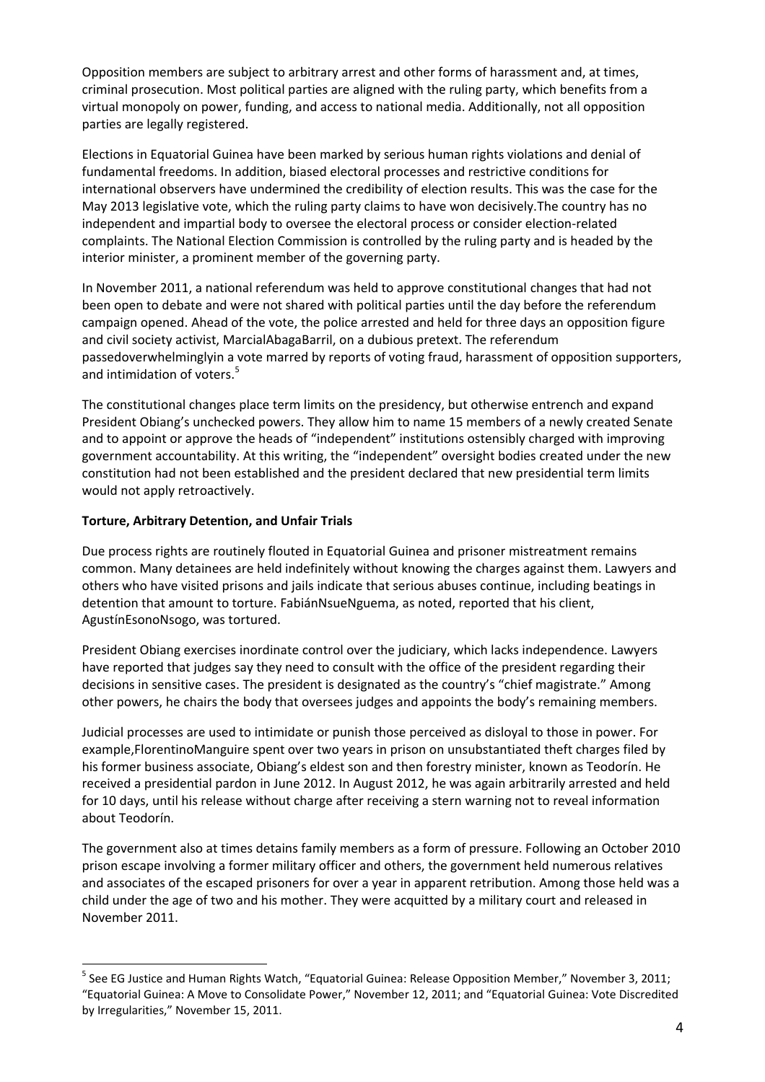Opposition members are subject to arbitrary arrest and other forms of harassment and, at times, criminal prosecution. Most political parties are aligned with the ruling party, which benefits from a virtual monopoly on power, funding, and access to national media. Additionally, not all opposition parties are legally registered.

Elections in Equatorial Guinea have been marked by serious human rights violations and denial of fundamental freedoms. In addition, biased electoral processes and restrictive conditions for international observers have undermined the credibility of election results. This was the case for the May 2013 legislative vote, which the ruling party claims to have won decisively.The country has no independent and impartial body to oversee the electoral process or consider election-related complaints. The National Election Commission is controlled by the ruling party and is headed by the interior minister, a prominent member of the governing party.

In November 2011, a national referendum was held to approve constitutional changes that had not been open to debate and were not shared with political parties until the day before the referendum campaign opened. Ahead of the vote, the police arrested and held for three days an opposition figure and civil society activist, MarcialAbagaBarril, on a dubious pretext. The referendum passedoverwhelminglyin a vote marred by reports of voting fraud, harassment of opposition supporters, and intimidation of voters.<sup>5</sup>

The constitutional changes place term limits on the presidency, but otherwise entrench and expand President Obiang's unchecked powers. They allow him to name 15 members of a newly created Senate and to appoint or approve the heads of "independent" institutions ostensibly charged with improving government accountability. At this writing, the "independent" oversight bodies created under the new constitution had not been established and the president declared that new presidential term limits would not apply retroactively.

## **Torture, Arbitrary Detention, and Unfair Trials**

l

Due process rights are routinely flouted in Equatorial Guinea and prisoner mistreatment remains common. Many detainees are held indefinitely without knowing the charges against them. Lawyers and others who have visited prisons and jails indicate that serious abuses continue, including beatings in detention that amount to torture. FabiánNsueNguema, as noted, reported that his client, AgustínEsonoNsogo, was tortured.

President Obiang exercises inordinate control over the judiciary, which lacks independence. Lawyers have reported that judges say they need to consult with the office of the president regarding their decisions in sensitive cases. The president is designated as the country's "chief magistrate." Among other powers, he chairs the body that oversees judges and appoints the body's remaining members.

Judicial processes are used to intimidate or punish those perceived as disloyal to those in power. For example,FlorentinoManguire spent over two years in prison on unsubstantiated theft charges filed by his former business associate, Obiang's eldest son and then forestry minister, known as Teodorín. He received a presidential pardon in June 2012. In August 2012, he was again arbitrarily arrested and held for 10 days, until his release without charge after receiving a stern warning not to reveal information about Teodorín.

The government also at times detains family members as a form of pressure. Following an October 2010 prison escape involving a former military officer and others, the government held numerous relatives and associates of the escaped prisoners for over a year in apparent retribution. Among those held was a child under the age of two and his mother. They were acquitted by a military court and released in November 2011.

<sup>&</sup>lt;sup>5</sup> See EG Justice and Human Rights Watch, "Equatorial Guinea: Release Opposition Member," November 3, 2011; "Equatorial Guinea: A Move to Consolidate Power," November 12, 2011; and "Equatorial Guinea: Vote Discredited by Irregularities," November 15, 2011.